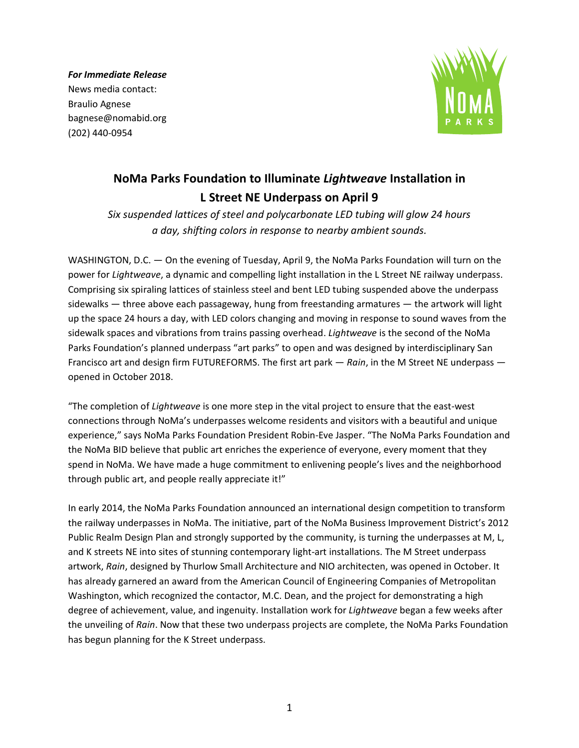*For Immediate Release* News media contact: Braulio Agnese bagnese@nomabid.org (202) 440-0954



## **NoMa Parks Foundation to Illuminate** *Lightweave* **Installation in L Street NE Underpass on April 9**

*Six suspended lattices of steel and polycarbonate LED tubing will glow 24 hours a day, shifting colors in response to nearby ambient sounds.*

WASHINGTON, D.C. — On the evening of Tuesday, April 9, the NoMa Parks Foundation will turn on the power for *Lightweave*, a dynamic and compelling light installation in the L Street NE railway underpass. Comprising six spiraling lattices of stainless steel and bent LED tubing suspended above the underpass sidewalks — three above each passageway, hung from freestanding armatures — the artwork will light up the space 24 hours a day, with LED colors changing and moving in response to sound waves from the sidewalk spaces and vibrations from trains passing overhead. *Lightweave* is the second of the NoMa Parks Foundation's planned underpass "art parks" to open and was designed by interdisciplinary San Francisco art and design firm FUTUREFORMS. The first art park — *Rain*, in the M Street NE underpass opened in October 2018.

"The completion of *Lightweave* is one more step in the vital project to ensure that the east-west connections through NoMa's underpasses welcome residents and visitors with a beautiful and unique experience," says NoMa Parks Foundation President Robin-Eve Jasper. "The NoMa Parks Foundation and the NoMa BID believe that public art enriches the experience of everyone, every moment that they spend in NoMa. We have made a huge commitment to enlivening people's lives and the neighborhood through public art, and people really appreciate it!"

In early 2014, the NoMa Parks Foundation announced an international design competition to transform the railway underpasses in NoMa. The initiative, part of the NoMa Business Improvement District's 2012 Public Realm Design Plan and strongly supported by the community, is turning the underpasses at M, L, and K streets NE into sites of stunning contemporary light-art installations. The M Street underpass artwork, *Rain*, designed by Thurlow Small Architecture and NIO architecten, was opened in October. It has already garnered an award from the American Council of Engineering Companies of Metropolitan Washington, which recognized the contactor, M.C. Dean, and the project for demonstrating a high degree of achievement, value, and ingenuity. Installation work for *Lightweave* began a few weeks after the unveiling of *Rain*. Now that these two underpass projects are complete, the NoMa Parks Foundation has begun planning for the K Street underpass.